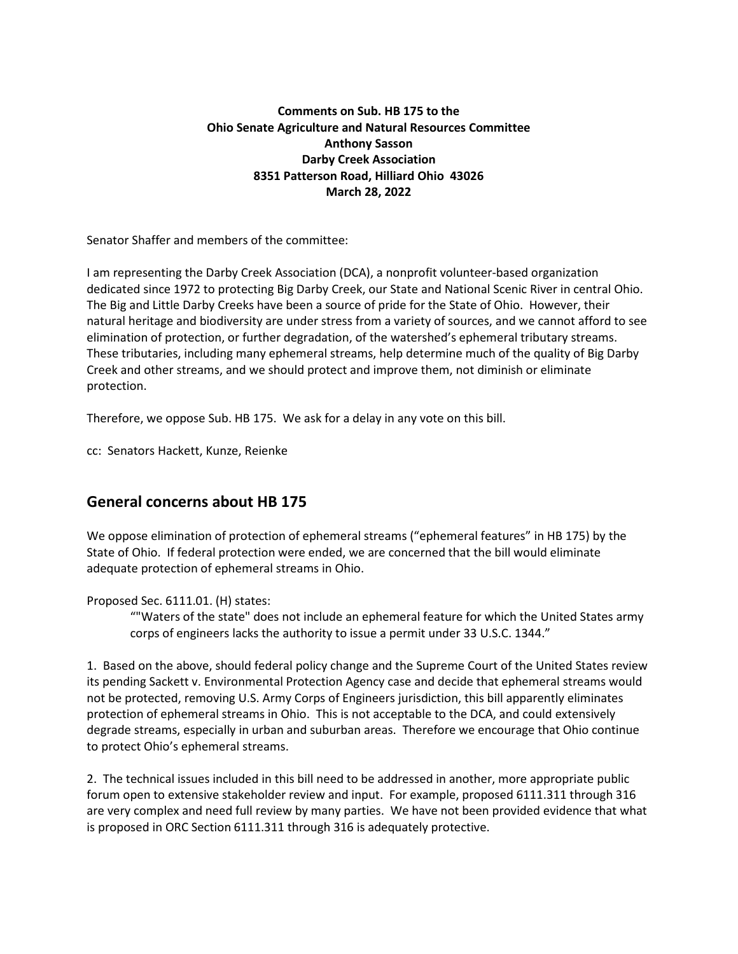# **Comments on Sub. HB 175 to the Ohio Senate Agriculture and Natural Resources Committee Anthony Sasson Darby Creek Association 8351 Patterson Road, Hilliard Ohio 43026 March 28, 2022**

Senator Shaffer and members of the committee:

I am representing the Darby Creek Association (DCA), a nonprofit volunteer-based organization dedicated since 1972 to protecting Big Darby Creek, our State and National Scenic River in central Ohio. The Big and Little Darby Creeks have been a source of pride for the State of Ohio. However, their natural heritage and biodiversity are under stress from a variety of sources, and we cannot afford to see elimination of protection, or further degradation, of the watershed's ephemeral tributary streams. These tributaries, including many ephemeral streams, help determine much of the quality of Big Darby Creek and other streams, and we should protect and improve them, not diminish or eliminate protection.

Therefore, we oppose Sub. HB 175. We ask for a delay in any vote on this bill.

cc: Senators Hackett, Kunze, Reienke

# **General concerns about HB 175**

We oppose elimination of protection of ephemeral streams ("ephemeral features" in HB 175) by the State of Ohio. If federal protection were ended, we are concerned that the bill would eliminate adequate protection of ephemeral streams in Ohio.

Proposed Sec. 6111.01. (H) states:

""Waters of the state" does not include an ephemeral feature for which the United States army corps of engineers lacks the authority to issue a permit under 33 U.S.C. 1344."

1. Based on the above, should federal policy change and the Supreme Court of the United States review its pending Sackett v. Environmental Protection Agency case and decide that ephemeral streams would not be protected, removing U.S. Army Corps of Engineers jurisdiction, this bill apparently eliminates protection of ephemeral streams in Ohio. This is not acceptable to the DCA, and could extensively degrade streams, especially in urban and suburban areas. Therefore we encourage that Ohio continue to protect Ohio's ephemeral streams.

2. The technical issues included in this bill need to be addressed in another, more appropriate public forum open to extensive stakeholder review and input. For example, proposed 6111.311 through 316 are very complex and need full review by many parties. We have not been provided evidence that what is proposed in ORC Section 6111.311 through 316 is adequately protective.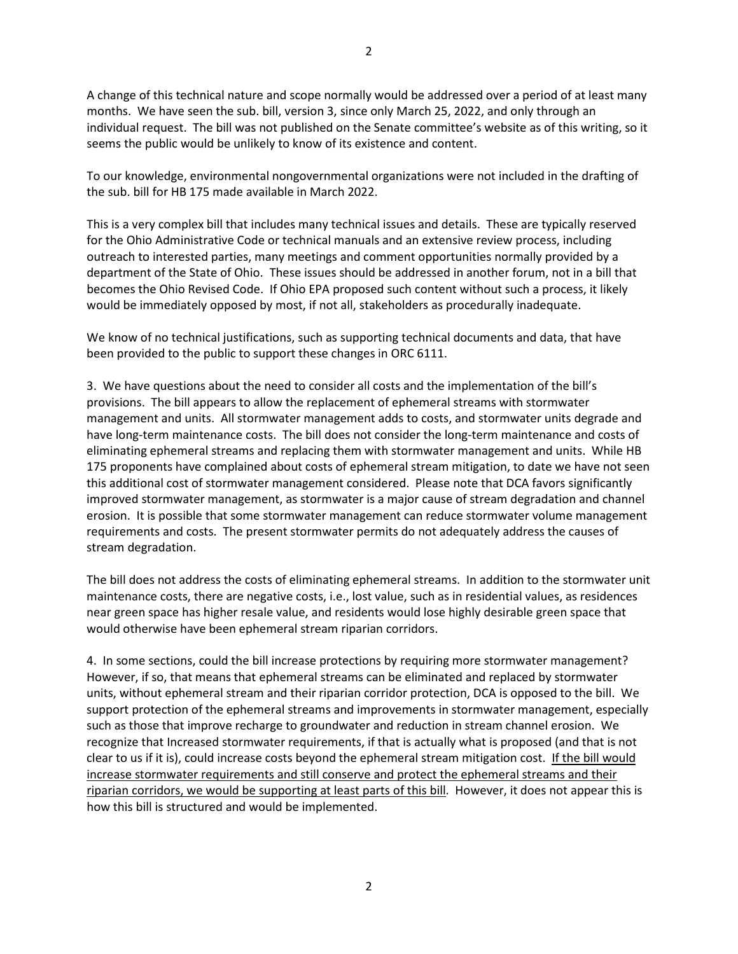A change of this technical nature and scope normally would be addressed over a period of at least many months. We have seen the sub. bill, version 3, since only March 25, 2022, and only through an individual request. The bill was not published on the Senate committee's website as of this writing, so it seems the public would be unlikely to know of its existence and content.

To our knowledge, environmental nongovernmental organizations were not included in the drafting of the sub. bill for HB 175 made available in March 2022.

This is a very complex bill that includes many technical issues and details. These are typically reserved for the Ohio Administrative Code or technical manuals and an extensive review process, including outreach to interested parties, many meetings and comment opportunities normally provided by a department of the State of Ohio. These issues should be addressed in another forum, not in a bill that becomes the Ohio Revised Code. If Ohio EPA proposed such content without such a process, it likely would be immediately opposed by most, if not all, stakeholders as procedurally inadequate.

We know of no technical justifications, such as supporting technical documents and data, that have been provided to the public to support these changes in ORC 6111.

3. We have questions about the need to consider all costs and the implementation of the bill's provisions. The bill appears to allow the replacement of ephemeral streams with stormwater management and units. All stormwater management adds to costs, and stormwater units degrade and have long-term maintenance costs. The bill does not consider the long-term maintenance and costs of eliminating ephemeral streams and replacing them with stormwater management and units. While HB 175 proponents have complained about costs of ephemeral stream mitigation, to date we have not seen this additional cost of stormwater management considered. Please note that DCA favors significantly improved stormwater management, as stormwater is a major cause of stream degradation and channel erosion. It is possible that some stormwater management can reduce stormwater volume management requirements and costs. The present stormwater permits do not adequately address the causes of stream degradation.

The bill does not address the costs of eliminating ephemeral streams. In addition to the stormwater unit maintenance costs, there are negative costs, i.e., lost value, such as in residential values, as residences near green space has higher resale value, and residents would lose highly desirable green space that would otherwise have been ephemeral stream riparian corridors.

4. In some sections, could the bill increase protections by requiring more stormwater management? However, if so, that means that ephemeral streams can be eliminated and replaced by stormwater units, without ephemeral stream and their riparian corridor protection, DCA is opposed to the bill. We support protection of the ephemeral streams and improvements in stormwater management, especially such as those that improve recharge to groundwater and reduction in stream channel erosion. We recognize that Increased stormwater requirements, if that is actually what is proposed (and that is not clear to us if it is), could increase costs beyond the ephemeral stream mitigation cost. If the bill would increase stormwater requirements and still conserve and protect the ephemeral streams and their riparian corridors, we would be supporting at least parts of this bill. However, it does not appear this is how this bill is structured and would be implemented.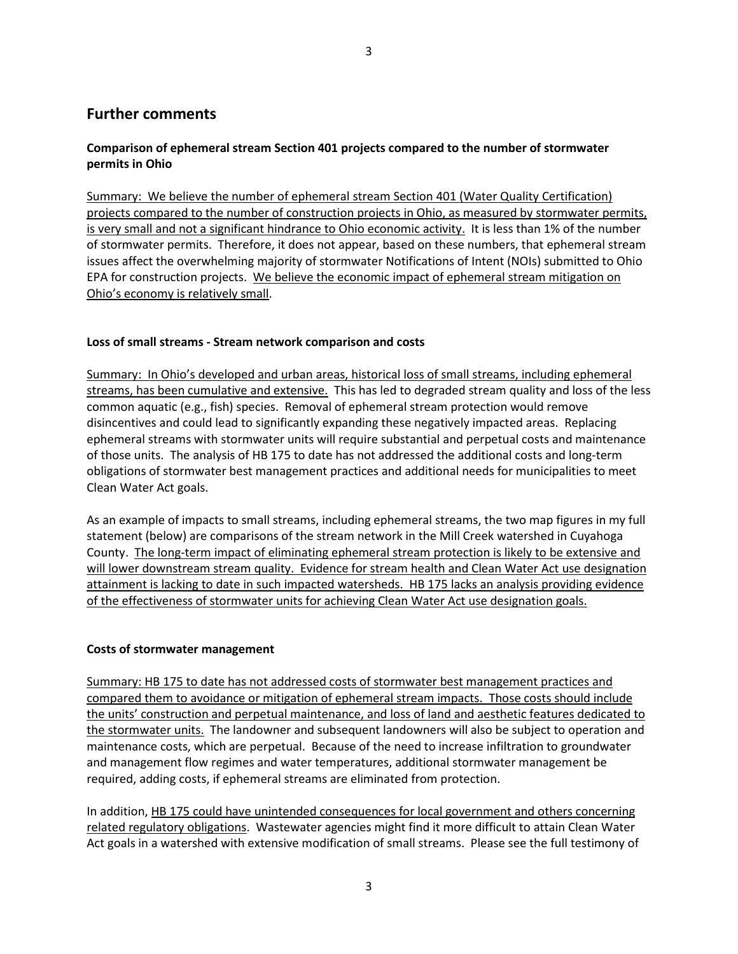# **Further comments**

# **Comparison of ephemeral stream Section 401 projects compared to the number of stormwater permits in Ohio**

Summary: We believe the number of ephemeral stream Section 401 (Water Quality Certification) projects compared to the number of construction projects in Ohio, as measured by stormwater permits, is very small and not a significant hindrance to Ohio economic activity. It is less than 1% of the number of stormwater permits. Therefore, it does not appear, based on these numbers, that ephemeral stream issues affect the overwhelming majority of stormwater Notifications of Intent (NOIs) submitted to Ohio EPA for construction projects. We believe the economic impact of ephemeral stream mitigation on Ohio's economy is relatively small.

## **Loss of small streams - Stream network comparison and costs**

Summary: In Ohio's developed and urban areas, historical loss of small streams, including ephemeral streams, has been cumulative and extensive. This has led to degraded stream quality and loss of the less common aquatic (e.g., fish) species. Removal of ephemeral stream protection would remove disincentives and could lead to significantly expanding these negatively impacted areas. Replacing ephemeral streams with stormwater units will require substantial and perpetual costs and maintenance of those units. The analysis of HB 175 to date has not addressed the additional costs and long-term obligations of stormwater best management practices and additional needs for municipalities to meet Clean Water Act goals.

As an example of impacts to small streams, including ephemeral streams, the two map figures in my full statement (below) are comparisons of the stream network in the Mill Creek watershed in Cuyahoga County. The long-term impact of eliminating ephemeral stream protection is likely to be extensive and will lower downstream stream quality. Evidence for stream health and Clean Water Act use designation attainment is lacking to date in such impacted watersheds. HB 175 lacks an analysis providing evidence of the effectiveness of stormwater units for achieving Clean Water Act use designation goals.

#### **Costs of stormwater management**

Summary: HB 175 to date has not addressed costs of stormwater best management practices and compared them to avoidance or mitigation of ephemeral stream impacts. Those costs should include the units' construction and perpetual maintenance, and loss of land and aesthetic features dedicated to the stormwater units. The landowner and subsequent landowners will also be subject to operation and maintenance costs, which are perpetual. Because of the need to increase infiltration to groundwater and management flow regimes and water temperatures, additional stormwater management be required, adding costs, if ephemeral streams are eliminated from protection.

In addition, HB 175 could have unintended consequences for local government and others concerning related regulatory obligations. Wastewater agencies might find it more difficult to attain Clean Water Act goals in a watershed with extensive modification of small streams. Please see the full testimony of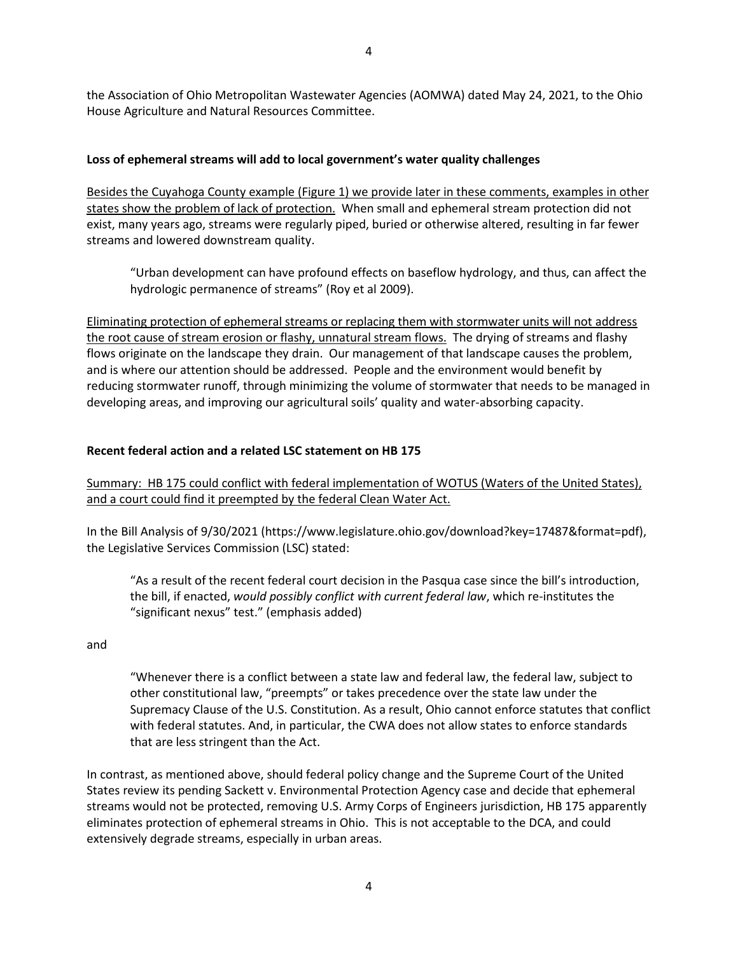the Association of Ohio Metropolitan Wastewater Agencies (AOMWA) dated May 24, 2021, to the Ohio House Agriculture and Natural Resources Committee.

#### **Loss of ephemeral streams will add to local government's water quality challenges**

Besides the Cuyahoga County example (Figure 1) we provide later in these comments, examples in other states show the problem of lack of protection. When small and ephemeral stream protection did not exist, many years ago, streams were regularly piped, buried or otherwise altered, resulting in far fewer streams and lowered downstream quality.

"Urban development can have profound effects on baseflow hydrology, and thus, can affect the hydrologic permanence of streams" (Roy et al 2009).

Eliminating protection of ephemeral streams or replacing them with stormwater units will not address the root cause of stream erosion or flashy, unnatural stream flows. The drying of streams and flashy flows originate on the landscape they drain. Our management of that landscape causes the problem, and is where our attention should be addressed. People and the environment would benefit by reducing stormwater runoff, through minimizing the volume of stormwater that needs to be managed in developing areas, and improving our agricultural soils' quality and water-absorbing capacity.

#### **Recent federal action and a related LSC statement on HB 175**

Summary: HB 175 could conflict with federal implementation of WOTUS (Waters of the United States), and a court could find it preempted by the federal Clean Water Act.

In the Bill Analysis of 9/30/2021 (https://www.legislature.ohio.gov/download?key=17487&format=pdf), the Legislative Services Commission (LSC) stated:

"As a result of the recent federal court decision in the Pasqua case since the bill's introduction, the bill, if enacted, *would possibly conflict with current federal law*, which re-institutes the "significant nexus" test." (emphasis added)

and

"Whenever there is a conflict between a state law and federal law, the federal law, subject to other constitutional law, "preempts" or takes precedence over the state law under the Supremacy Clause of the U.S. Constitution. As a result, Ohio cannot enforce statutes that conflict with federal statutes. And, in particular, the CWA does not allow states to enforce standards that are less stringent than the Act.

In contrast, as mentioned above, should federal policy change and the Supreme Court of the United States review its pending Sackett v. Environmental Protection Agency case and decide that ephemeral streams would not be protected, removing U.S. Army Corps of Engineers jurisdiction, HB 175 apparently eliminates protection of ephemeral streams in Ohio. This is not acceptable to the DCA, and could extensively degrade streams, especially in urban areas.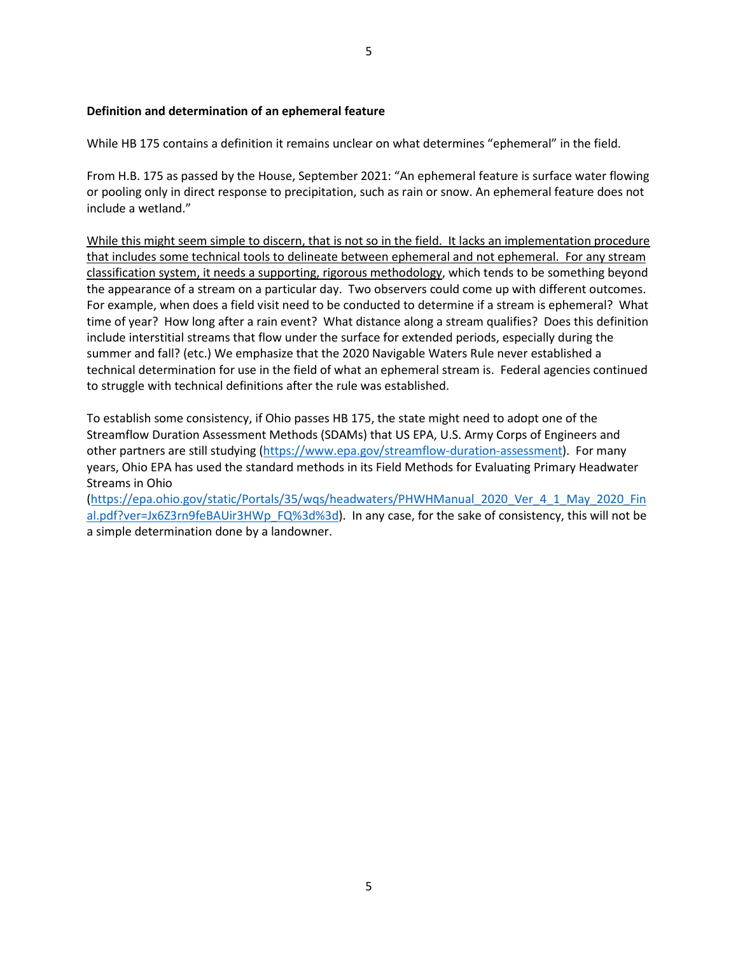### **Definition and determination of an ephemeral feature**

While HB 175 contains a definition it remains unclear on what determines "ephemeral" in the field.

From H.B. 175 as passed by the House, September 2021: "An ephemeral feature is surface water flowing or pooling only in direct response to precipitation, such as rain or snow. An ephemeral feature does not include a wetland."

While this might seem simple to discern, that is not so in the field. It lacks an implementation procedure that includes some technical tools to delineate between ephemeral and not ephemeral. For any stream classification system, it needs a supporting, rigorous methodology, which tends to be something beyond the appearance of a stream on a particular day. Two observers could come up with different outcomes. For example, when does a field visit need to be conducted to determine if a stream is ephemeral? What time of year? How long after a rain event? What distance along a stream qualifies? Does this definition include interstitial streams that flow under the surface for extended periods, especially during the summer and fall? (etc.) We emphasize that the 2020 Navigable Waters Rule never established a technical determination for use in the field of what an ephemeral stream is. Federal agencies continued to struggle with technical definitions after the rule was established.

To establish some consistency, if Ohio passes HB 175, the state might need to adopt one of the Streamflow Duration Assessment Methods (SDAMs) that US EPA, U.S. Army Corps of Engineers and other partners are still studying [\(https://www.epa.gov/streamflow-duration-assessment\)](https://www.epa.gov/streamflow-duration-assessment). For many years, Ohio EPA has used the standard methods in its Field Methods for Evaluating Primary Headwater Streams in Ohio

[\(https://epa.ohio.gov/static/Portals/35/wqs/headwaters/PHWHManual\\_2020\\_Ver\\_4\\_1\\_May\\_2020\\_Fin](https://epa.ohio.gov/static/Portals/35/wqs/headwaters/PHWHManual_2020_Ver_4_1_May_2020_Final.pdf?ver=Jx6Z3rn9feBAUir3HWp_FQ%3d%3d) [al.pdf?ver=Jx6Z3rn9feBAUir3HWp\\_FQ%3d%3d\)](https://epa.ohio.gov/static/Portals/35/wqs/headwaters/PHWHManual_2020_Ver_4_1_May_2020_Final.pdf?ver=Jx6Z3rn9feBAUir3HWp_FQ%3d%3d). In any case, for the sake of consistency, this will not be a simple determination done by a landowner.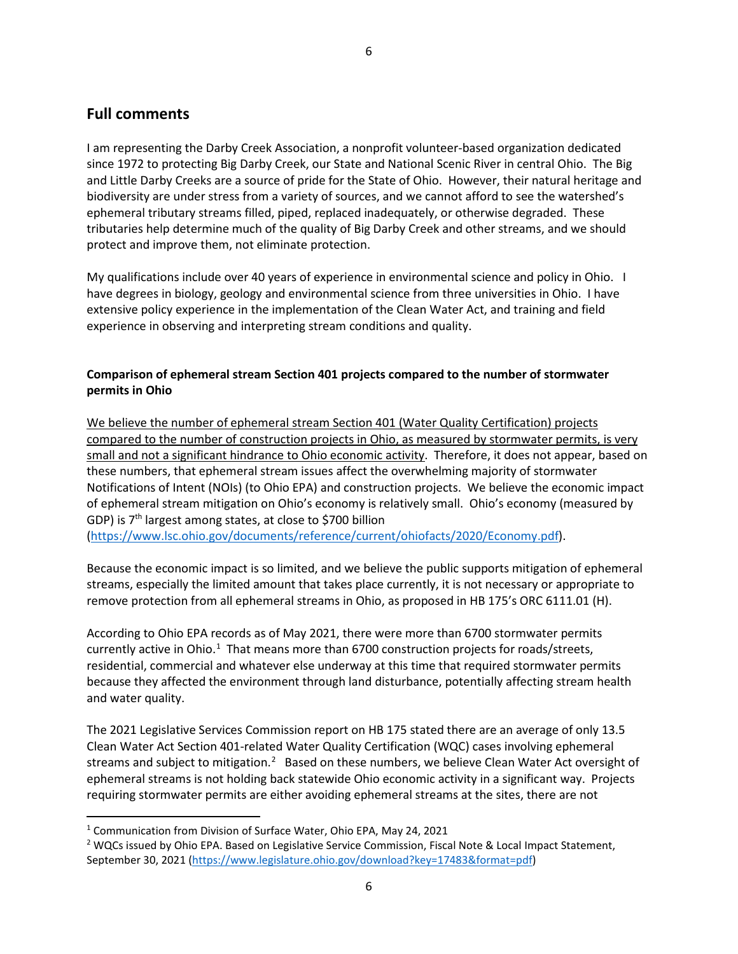# **Full comments**

I am representing the Darby Creek Association, a nonprofit volunteer-based organization dedicated since 1972 to protecting Big Darby Creek, our State and National Scenic River in central Ohio. The Big and Little Darby Creeks are a source of pride for the State of Ohio. However, their natural heritage and biodiversity are under stress from a variety of sources, and we cannot afford to see the watershed's ephemeral tributary streams filled, piped, replaced inadequately, or otherwise degraded. These tributaries help determine much of the quality of Big Darby Creek and other streams, and we should protect and improve them, not eliminate protection.

My qualifications include over 40 years of experience in environmental science and policy in Ohio. I have degrees in biology, geology and environmental science from three universities in Ohio. I have extensive policy experience in the implementation of the Clean Water Act, and training and field experience in observing and interpreting stream conditions and quality.

# **Comparison of ephemeral stream Section 401 projects compared to the number of stormwater permits in Ohio**

We believe the number of ephemeral stream Section 401 (Water Quality Certification) projects compared to the number of construction projects in Ohio, as measured by stormwater permits, is very small and not a significant hindrance to Ohio economic activity. Therefore, it does not appear, based on these numbers, that ephemeral stream issues affect the overwhelming majority of stormwater Notifications of Intent (NOIs) (to Ohio EPA) and construction projects. We believe the economic impact of ephemeral stream mitigation on Ohio's economy is relatively small. Ohio's economy (measured by GDP) is 7<sup>th</sup> largest among states, at close to \$700 billion [\(https://www.lsc.ohio.gov/documents/reference/current/ohiofacts/2020/Economy.pdf\)](https://www.lsc.ohio.gov/documents/reference/current/ohiofacts/2020/Economy.pdf).

Because the economic impact is so limited, and we believe the public supports mitigation of ephemeral streams, especially the limited amount that takes place currently, it is not necessary or appropriate to remove protection from all ephemeral streams in Ohio, as proposed in HB 175's ORC 6111.01 (H).

According to Ohio EPA records as of May 2021, there were more than 6700 stormwater permits currently active in Ohio. $1$  That means more than 6700 construction projects for roads/streets, residential, commercial and whatever else underway at this time that required stormwater permits because they affected the environment through land disturbance, potentially affecting stream health and water quality.

The 2021 Legislative Services Commission report on HB 175 stated there are an average of only 13.5 Clean Water Act Section 401-related Water Quality Certification (WQC) cases involving ephemeral streams and subject to mitigation.<sup>[2](#page-5-1)</sup> Based on these numbers, we believe Clean Water Act oversight of ephemeral streams is not holding back statewide Ohio economic activity in a significant way. Projects requiring stormwater permits are either avoiding ephemeral streams at the sites, there are not

<span id="page-5-0"></span> <sup>1</sup> Communication from Division of Surface Water, Ohio EPA, May 24, 2021

<span id="page-5-1"></span><sup>&</sup>lt;sup>2</sup> WQCs issued by Ohio EPA. Based on Legislative Service Commission, Fiscal Note & Local Impact Statement, September 30, 2021 [\(https://www.legislature.ohio.gov/download?key=17483&format=pdf\)](https://www.legislature.ohio.gov/download?key=17483&format=pdf)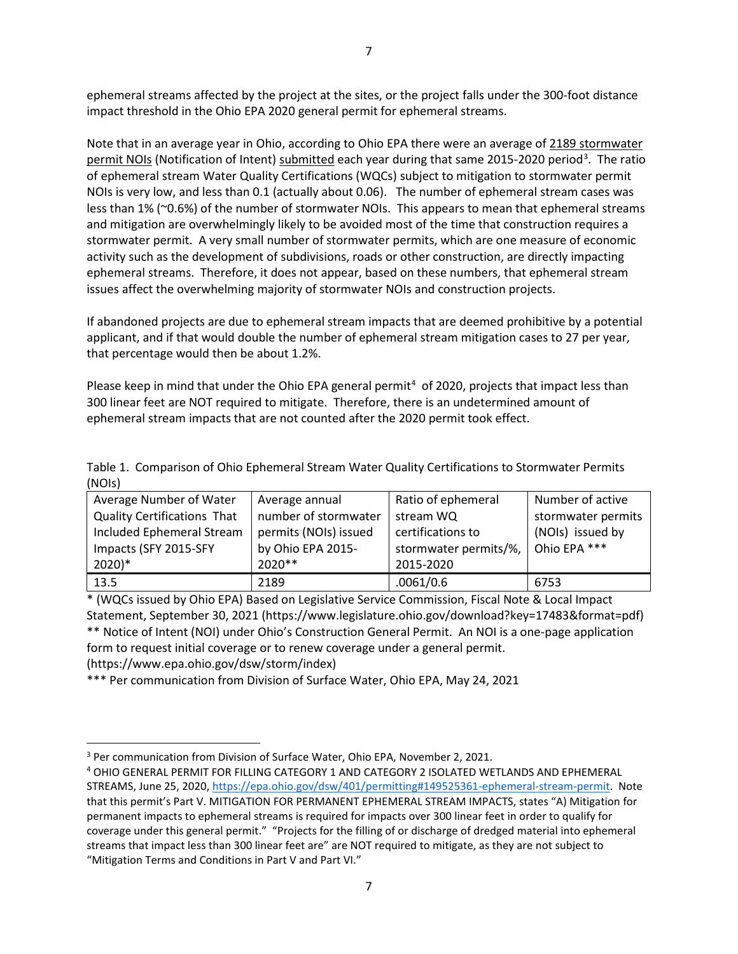ephemeral streams affected by the project at the sites, or the project falls under the 300-foot distance impact threshold in the Ohio EPA 2020 general permit for ephemeral streams.

Note that in an average year in Ohio, according to Ohio EPA there were an average of 2189 stormwater permit NOIs (Notification of Intent) submitted each year during that same 2015-2020 period<sup>[3](#page-6-0)</sup>. The ratio of ephemeral stream Water Quality Certifications (WQCs) subject to mitigation to stormwater permit NOIs is very low, and less than 0.1 (actually about 0.06). The number of ephemeral stream cases was less than 1% (~0.6%) of the number of stormwater NOIs. This appears to mean that ephemeral streams and mitigation are overwhelmingly likely to be avoided most of the time that construction requires a stormwater permit. A very small number of stormwater permits, which are one measure of economic activity such as the development of subdivisions, roads or other construction, are directly impacting ephemeral streams. Therefore, it does not appear, based on these numbers, that ephemeral stream issues affect the overwhelming majority of stormwater NOIs and construction projects.

If abandoned projects are due to ephemeral stream impacts that are deemed prohibitive by a potential applicant, and if that would double the number of ephemeral stream mitigation cases to 27 per year, that percentage would then be about 1.2%.

Please keep in mind that under the Ohio EPA general permit<sup>[4](#page-6-1)</sup> of 2020, projects that impact less than 300 linear feet are NOT required to mitigate. Therefore, there is an undetermined amount of ephemeral stream impacts that are not counted after the 2020 permit took effect.

|        | Table 1. Comparison of Ohio Ephemeral Stream Water Quality Certifications to Stormwater Permits |
|--------|-------------------------------------------------------------------------------------------------|
| (NOIs) |                                                                                                 |

| Average Number of Water            | Average annual        | Ratio of ephemeral    | Number of active   |
|------------------------------------|-----------------------|-----------------------|--------------------|
| <b>Quality Certifications That</b> | number of stormwater  | stream WQ             | stormwater permits |
| Included Ephemeral Stream          | permits (NOIs) issued | certifications to     | (NOIs) issued by   |
| Impacts (SFY 2015-SFY              | by Ohio EPA 2015-     | stormwater permits/%, | Ohio EPA ***       |
| $2020)*$                           | $2020**$              | 2015-2020             |                    |
| 13.5                               | 2189                  | .0061/0.6             | 6753               |

\* (WQCs issued by Ohio EPA) Based on Legislative Service Commission, Fiscal Note & Local Impact Statement, September 30, 2021 (https://www.legislature.ohio.gov/download?key=17483&format=pdf) \*\* Notice of Intent (NOI) under Ohio's Construction General Permit. An NOI is a one-page application form to request initial coverage or to renew coverage under a general permit.

(https://www.epa.ohio.gov/dsw/storm/index)

\*\*\* Per communication from Division of Surface Water, Ohio EPA, May 24, 2021

<span id="page-6-0"></span><sup>&</sup>lt;sup>3</sup> Per communication from Division of Surface Water, Ohio EPA, November 2, 2021.

<span id="page-6-1"></span><sup>4</sup> OHIO GENERAL PERMIT FOR FILLING CATEGORY 1 AND CATEGORY 2 ISOLATED WETLANDS AND EPHEMERAL STREAMS, June 25, 2020, [https://epa.ohio.gov/dsw/401/permitting#149525361-ephemeral-stream-permit.](https://epa.ohio.gov/dsw/401/permitting#149525361-ephemeral-stream-permit) Note that this permit's Part V. MITIGATION FOR PERMANENT EPHEMERAL STREAM IMPACTS, states "A) Mitigation for permanent impacts to ephemeral streams is required for impacts over 300 linear feet in order to qualify for coverage under this general permit." "Projects for the filling of or discharge of dredged material into ephemeral streams that impact less than 300 linear feet are" are NOT required to mitigate, as they are not subject to "Mitigation Terms and Conditions in Part V and Part VI."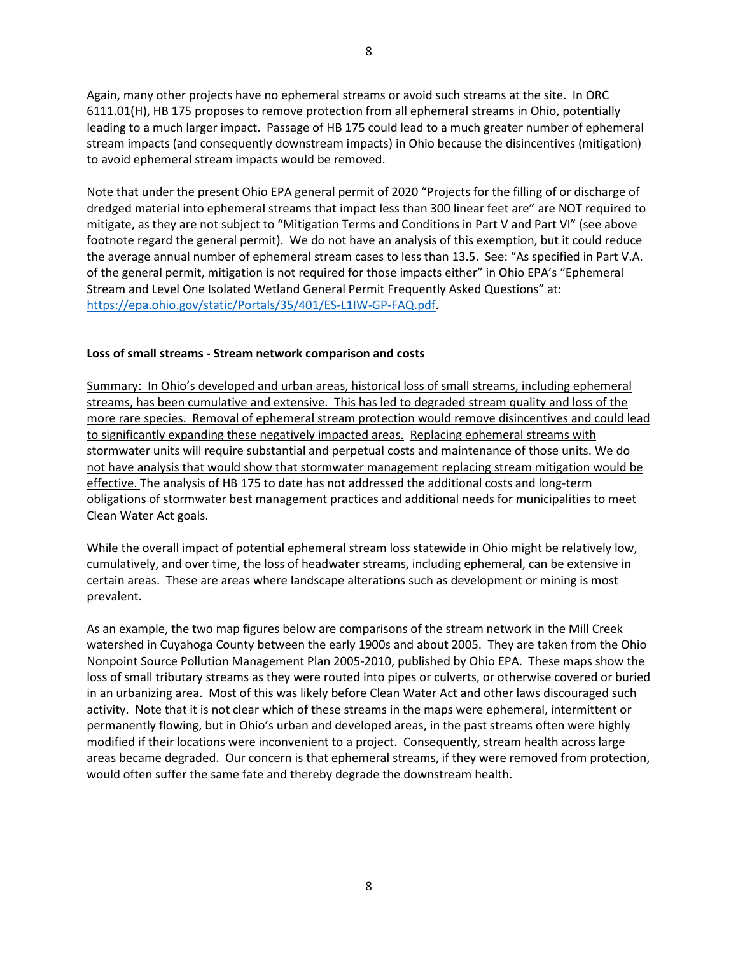Again, many other projects have no ephemeral streams or avoid such streams at the site. In ORC 6111.01(H), HB 175 proposes to remove protection from all ephemeral streams in Ohio, potentially leading to a much larger impact. Passage of HB 175 could lead to a much greater number of ephemeral stream impacts (and consequently downstream impacts) in Ohio because the disincentives (mitigation) to avoid ephemeral stream impacts would be removed.

Note that under the present Ohio EPA general permit of 2020 "Projects for the filling of or discharge of dredged material into ephemeral streams that impact less than 300 linear feet are" are NOT required to mitigate, as they are not subject to "Mitigation Terms and Conditions in Part V and Part VI" (see above footnote regard the general permit). We do not have an analysis of this exemption, but it could reduce the average annual number of ephemeral stream cases to less than 13.5. See: "As specified in Part V.A. of the general permit, mitigation is not required for those impacts either" in Ohio EPA's "Ephemeral Stream and Level One Isolated Wetland General Permit Frequently Asked Questions" at: [https://epa.ohio.gov/static/Portals/35/401/ES-L1IW-GP-FAQ.pdf.](https://epa.ohio.gov/static/Portals/35/401/ES-L1IW-GP-FAQ.pdf)

### **Loss of small streams - Stream network comparison and costs**

Summary: In Ohio's developed and urban areas, historical loss of small streams, including ephemeral streams, has been cumulative and extensive. This has led to degraded stream quality and loss of the more rare species. Removal of ephemeral stream protection would remove disincentives and could lead to significantly expanding these negatively impacted areas. Replacing ephemeral streams with stormwater units will require substantial and perpetual costs and maintenance of those units. We do not have analysis that would show that stormwater management replacing stream mitigation would be effective. The analysis of HB 175 to date has not addressed the additional costs and long-term obligations of stormwater best management practices and additional needs for municipalities to meet Clean Water Act goals.

While the overall impact of potential ephemeral stream loss statewide in Ohio might be relatively low, cumulatively, and over time, the loss of headwater streams, including ephemeral, can be extensive in certain areas. These are areas where landscape alterations such as development or mining is most prevalent.

As an example, the two map figures below are comparisons of the stream network in the Mill Creek watershed in Cuyahoga County between the early 1900s and about 2005. They are taken from the Ohio Nonpoint Source Pollution Management Plan 2005-2010, published by Ohio EPA. These maps show the loss of small tributary streams as they were routed into pipes or culverts, or otherwise covered or buried in an urbanizing area. Most of this was likely before Clean Water Act and other laws discouraged such activity. Note that it is not clear which of these streams in the maps were ephemeral, intermittent or permanently flowing, but in Ohio's urban and developed areas, in the past streams often were highly modified if their locations were inconvenient to a project. Consequently, stream health across large areas became degraded. Our concern is that ephemeral streams, if they were removed from protection, would often suffer the same fate and thereby degrade the downstream health.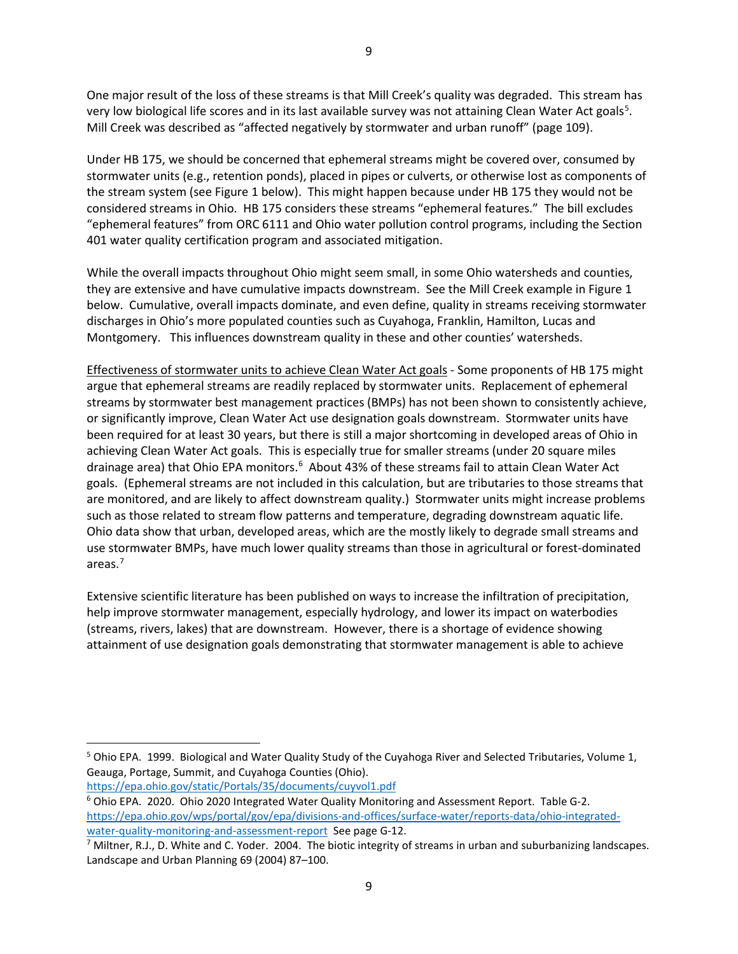One major result of the loss of these streams is that Mill Creek's quality was degraded. This stream has very low biological life scores and in its last available survey was not attaining Clean Water Act goals<sup>[5](#page-8-0)</sup>. Mill Creek was described as "affected negatively by stormwater and urban runoff" (page 109).

Under HB 175, we should be concerned that ephemeral streams might be covered over, consumed by stormwater units (e.g., retention ponds), placed in pipes or culverts, or otherwise lost as components of the stream system (see Figure 1 below). This might happen because under HB 175 they would not be considered streams in Ohio. HB 175 considers these streams "ephemeral features." The bill excludes "ephemeral features" from ORC 6111 and Ohio water pollution control programs, including the Section 401 water quality certification program and associated mitigation.

While the overall impacts throughout Ohio might seem small, in some Ohio watersheds and counties, they are extensive and have cumulative impacts downstream. See the Mill Creek example in Figure 1 below. Cumulative, overall impacts dominate, and even define, quality in streams receiving stormwater discharges in Ohio's more populated counties such as Cuyahoga, Franklin, Hamilton, Lucas and Montgomery. This influences downstream quality in these and other counties' watersheds.

Effectiveness of stormwater units to achieve Clean Water Act goals - Some proponents of HB 175 might argue that ephemeral streams are readily replaced by stormwater units. Replacement of ephemeral streams by stormwater best management practices (BMPs) has not been shown to consistently achieve, or significantly improve, Clean Water Act use designation goals downstream. Stormwater units have been required for at least 30 years, but there is still a major shortcoming in developed areas of Ohio in achieving Clean Water Act goals. This is especially true for smaller streams (under 20 square miles drainage area) that Ohio EPA monitors.<sup>[6](#page-8-1)</sup> About 43% of these streams fail to attain Clean Water Act goals. (Ephemeral streams are not included in this calculation, but are tributaries to those streams that are monitored, and are likely to affect downstream quality.) Stormwater units might increase problems such as those related to stream flow patterns and temperature, degrading downstream aquatic life. Ohio data show that urban, developed areas, which are the mostly likely to degrade small streams and use stormwater BMPs, have much lower quality streams than those in agricultural or forest-dominated areas[.7](#page-8-2)

Extensive scientific literature has been published on ways to increase the infiltration of precipitation, help improve stormwater management, especially hydrology, and lower its impact on waterbodies (streams, rivers, lakes) that are downstream. However, there is a shortage of evidence showing attainment of use designation goals demonstrating that stormwater management is able to achieve

<https://epa.ohio.gov/static/Portals/35/documents/cuyvol1.pdf>

<span id="page-8-0"></span> <sup>5</sup> Ohio EPA. 1999. Biological and Water Quality Study of the Cuyahoga River and Selected Tributaries, Volume 1, Geauga, Portage, Summit, and Cuyahoga Counties (Ohio).

<span id="page-8-1"></span><sup>&</sup>lt;sup>6</sup> Ohio EPA. 2020. Ohio 2020 Integrated Water Quality Monitoring and Assessment Report. Table G-2. [https://epa.ohio.gov/wps/portal/gov/epa/divisions-and-offices/surface-water/reports-data/ohio-integrated-](https://epa.ohio.gov/wps/portal/gov/epa/divisions-and-offices/surface-water/reports-data/ohio-integrated-water-quality-monitoring-and-assessment-report)

<span id="page-8-2"></span>[water-quality-monitoring-and-assessment-report](https://epa.ohio.gov/wps/portal/gov/epa/divisions-and-offices/surface-water/reports-data/ohio-integrated-water-quality-monitoring-and-assessment-report) See page G-12.<br><sup>7</sup> Miltner, R.J., D. White and C. Yoder. 2004. The biotic integrity of streams in urban and suburbanizing landscapes. Landscape and Urban Planning 69 (2004) 87–100.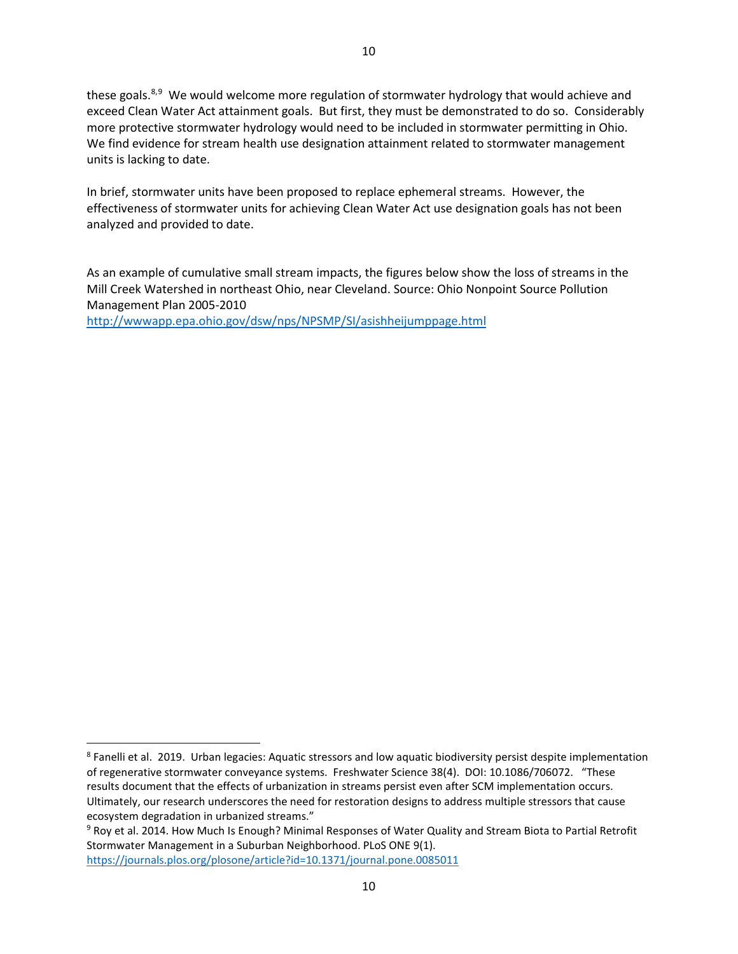these goals.<sup>[8](#page-9-0),[9](#page-9-1)</sup> We would welcome more regulation of stormwater hydrology that would achieve and exceed Clean Water Act attainment goals. But first, they must be demonstrated to do so. Considerably more protective stormwater hydrology would need to be included in stormwater permitting in Ohio. We find evidence for stream health use designation attainment related to stormwater management units is lacking to date.

In brief, stormwater units have been proposed to replace ephemeral streams. However, the effectiveness of stormwater units for achieving Clean Water Act use designation goals has not been analyzed and provided to date.

As an example of cumulative small stream impacts, the figures below show the loss of streams in the Mill Creek Watershed in northeast Ohio, near Cleveland. Source: Ohio Nonpoint Source Pollution Management Plan 2005-2010

<http://wwwapp.epa.ohio.gov/dsw/nps/NPSMP/SI/asishheijumppage.html>

<span id="page-9-1"></span><sup>9</sup> Roy et al. 2014. How Much Is Enough? Minimal Responses of Water Quality and Stream Biota to Partial Retrofit Stormwater Management in a Suburban Neighborhood. PLoS ONE 9(1). <https://journals.plos.org/plosone/article?id=10.1371/journal.pone.0085011>

<span id="page-9-0"></span> <sup>8</sup> Fanelli et al. 2019. Urban legacies: Aquatic stressors and low aquatic biodiversity persist despite implementation of regenerative stormwater conveyance systems. Freshwater Science 38(4). DOI: 10.1086/706072. "These results document that the effects of urbanization in streams persist even after SCM implementation occurs. Ultimately, our research underscores the need for restoration designs to address multiple stressors that cause ecosystem degradation in urbanized streams."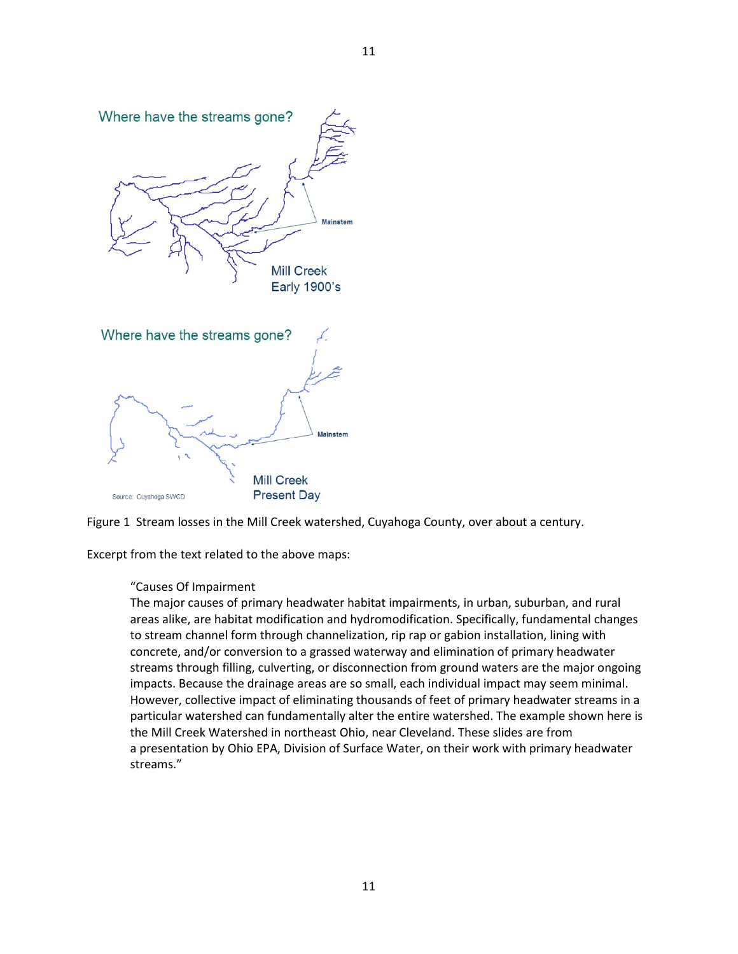



Excerpt from the text related to the above maps:

#### "Causes Of Impairment

The major causes of primary headwater habitat impairments, in urban, suburban, and rural areas alike, are habitat modification and hydromodification. Specifically, fundamental changes to stream channel form through channelization, rip rap or gabion installation, lining with concrete, and/or conversion to a grassed waterway and elimination of primary headwater streams through filling, culverting, or disconnection from ground waters are the major ongoing impacts. Because the drainage areas are so small, each individual impact may seem minimal. However, collective impact of eliminating thousands of feet of primary headwater streams in a particular watershed can fundamentally alter the entire watershed. The example shown here is the Mill Creek Watershed in northeast Ohio, near Cleveland. These slides are from a presentation by Ohio EPA, Division of Surface Water, on their work with primary headwater streams."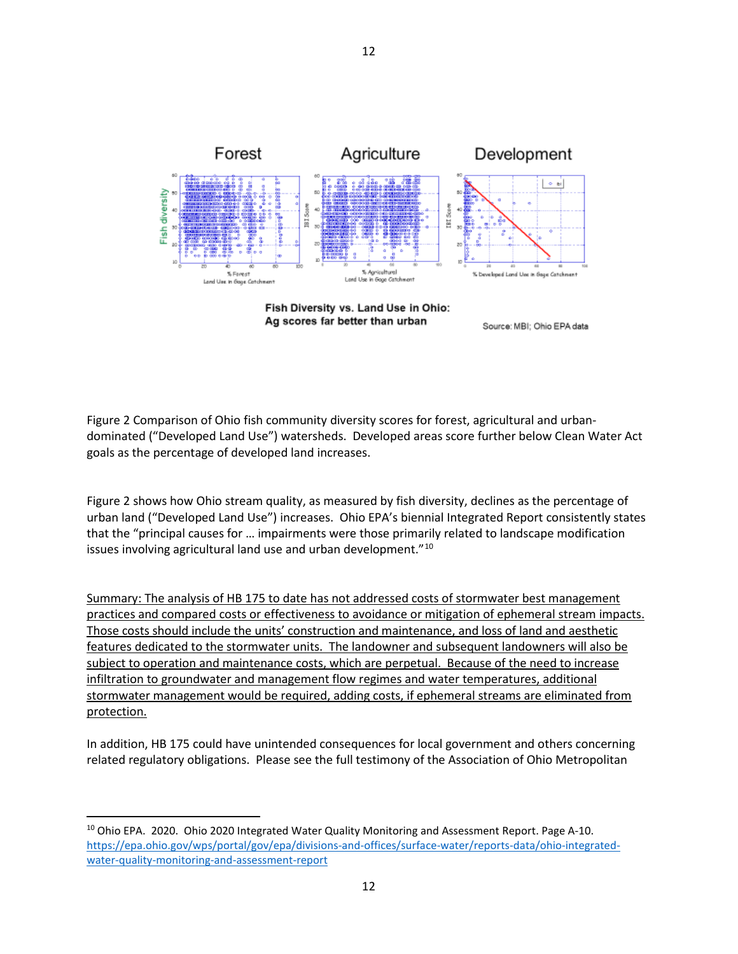

Ag scores far better than urban

Source: MBI; Ohio EPA data

Figure 2 Comparison of Ohio fish community diversity scores for forest, agricultural and urbandominated ("Developed Land Use") watersheds. Developed areas score further below Clean Water Act goals as the percentage of developed land increases.

Figure 2 shows how Ohio stream quality, as measured by fish diversity, declines as the percentage of urban land ("Developed Land Use") increases. Ohio EPA's biennial Integrated Report consistently states that the "principal causes for … impairments were those primarily related to landscape modification issues involving agricultural land use and urban development."<sup>[10](#page-11-0)</sup>

Summary: The analysis of HB 175 to date has not addressed costs of stormwater best management practices and compared costs or effectiveness to avoidance or mitigation of ephemeral stream impacts. Those costs should include the units' construction and maintenance, and loss of land and aesthetic features dedicated to the stormwater units. The landowner and subsequent landowners will also be subject to operation and maintenance costs, which are perpetual. Because of the need to increase infiltration to groundwater and management flow regimes and water temperatures, additional stormwater management would be required, adding costs, if ephemeral streams are eliminated from protection.

In addition, HB 175 could have unintended consequences for local government and others concerning related regulatory obligations. Please see the full testimony of the Association of Ohio Metropolitan

<span id="page-11-0"></span><sup>&</sup>lt;sup>10</sup> Ohio EPA. 2020. Ohio 2020 Integrated Water Quality Monitoring and Assessment Report. Page A-10. [https://epa.ohio.gov/wps/portal/gov/epa/divisions-and-offices/surface-water/reports-data/ohio-integrated](https://epa.ohio.gov/wps/portal/gov/epa/divisions-and-offices/surface-water/reports-data/ohio-integrated-water-quality-monitoring-and-assessment-report)[water-quality-monitoring-and-assessment-report](https://epa.ohio.gov/wps/portal/gov/epa/divisions-and-offices/surface-water/reports-data/ohio-integrated-water-quality-monitoring-and-assessment-report)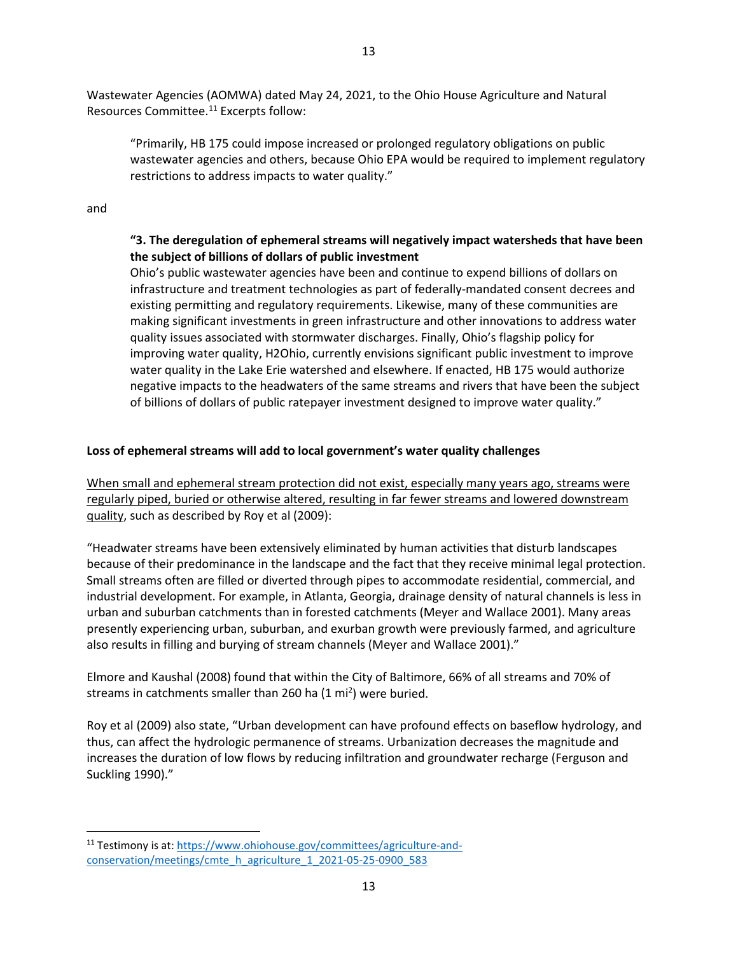Wastewater Agencies (AOMWA) dated May 24, 2021, to the Ohio House Agriculture and Natural Resources Committee.<sup>11</sup> Excerpts follow:

"Primarily, HB 175 could impose increased or prolonged regulatory obligations on public wastewater agencies and others, because Ohio EPA would be required to implement regulatory restrictions to address impacts to water quality."

and

# **"3. The deregulation of ephemeral streams will negatively impact watersheds that have been the subject of billions of dollars of public investment**

Ohio's public wastewater agencies have been and continue to expend billions of dollars on infrastructure and treatment technologies as part of federally-mandated consent decrees and existing permitting and regulatory requirements. Likewise, many of these communities are making significant investments in green infrastructure and other innovations to address water quality issues associated with stormwater discharges. Finally, Ohio's flagship policy for improving water quality, H2Ohio, currently envisions significant public investment to improve water quality in the Lake Erie watershed and elsewhere. If enacted, HB 175 would authorize negative impacts to the headwaters of the same streams and rivers that have been the subject of billions of dollars of public ratepayer investment designed to improve water quality."

## **Loss of ephemeral streams will add to local government's water quality challenges**

When small and ephemeral stream protection did not exist, especially many years ago, streams were regularly piped, buried or otherwise altered, resulting in far fewer streams and lowered downstream quality, such as described by Roy et al (2009):

"Headwater streams have been extensively eliminated by human activities that disturb landscapes because of their predominance in the landscape and the fact that they receive minimal legal protection. Small streams often are filled or diverted through pipes to accommodate residential, commercial, and industrial development. For example, in Atlanta, Georgia, drainage density of natural channels is less in urban and suburban catchments than in forested catchments (Meyer and Wallace 2001). Many areas presently experiencing urban, suburban, and exurban growth were previously farmed, and agriculture also results in filling and burying of stream channels (Meyer and Wallace 2001)."

Elmore and Kaushal (2008) found that within the City of Baltimore, 66% of all streams and 70% of streams in catchments smaller than 260 ha  $(1 \text{ mi}^2)$  were buried.

Roy et al (2009) also state, "Urban development can have profound effects on baseflow hydrology, and thus, can affect the hydrologic permanence of streams. Urbanization decreases the magnitude and increases the duration of low flows by reducing infiltration and groundwater recharge (Ferguson and Suckling 1990)."

<span id="page-12-0"></span> <sup>11</sup> Testimony is at: [https://www.ohiohouse.gov/committees/agriculture-and](https://www.ohiohouse.gov/committees/agriculture-and-conservation/meetings/cmte_h_agriculture_1_2021-05-25-0900_583)[conservation/meetings/cmte\\_h\\_agriculture\\_1\\_2021-05-25-0900\\_583](https://www.ohiohouse.gov/committees/agriculture-and-conservation/meetings/cmte_h_agriculture_1_2021-05-25-0900_583)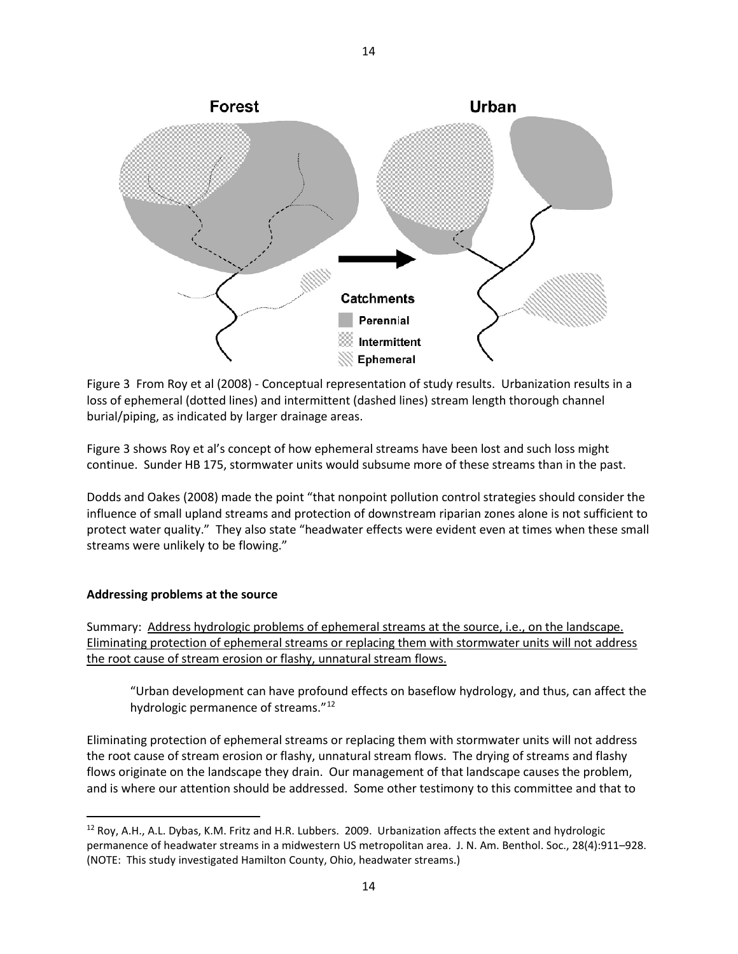

Figure 3 From Roy et al (2008) - Conceptual representation of study results. Urbanization results in a loss of ephemeral (dotted lines) and intermittent (dashed lines) stream length thorough channel burial/piping, as indicated by larger drainage areas.

Figure 3 shows Roy et al's concept of how ephemeral streams have been lost and such loss might continue. Sunder HB 175, stormwater units would subsume more of these streams than in the past.

Dodds and Oakes (2008) made the point "that nonpoint pollution control strategies should consider the influence of small upland streams and protection of downstream riparian zones alone is not sufficient to protect water quality." They also state "headwater effects were evident even at times when these small streams were unlikely to be flowing."

#### **Addressing problems at the source**

Summary: Address hydrologic problems of ephemeral streams at the source, i.e., on the landscape. Eliminating protection of ephemeral streams or replacing them with stormwater units will not address the root cause of stream erosion or flashy, unnatural stream flows.

"Urban development can have profound effects on baseflow hydrology, and thus, can affect the hydrologic permanence of streams."<sup>[12](#page-13-0)</sup>

Eliminating protection of ephemeral streams or replacing them with stormwater units will not address the root cause of stream erosion or flashy, unnatural stream flows. The drying of streams and flashy flows originate on the landscape they drain. Our management of that landscape causes the problem, and is where our attention should be addressed. Some other testimony to this committee and that to

<span id="page-13-0"></span> <sup>12</sup> Roy, A.H., A.L. Dybas, K.M. Fritz and H.R. Lubbers. 2009. Urbanization affects the extent and hydrologic permanence of headwater streams in a midwestern US metropolitan area. J. N. Am. Benthol. Soc., 28(4):911–928. (NOTE: This study investigated Hamilton County, Ohio, headwater streams.)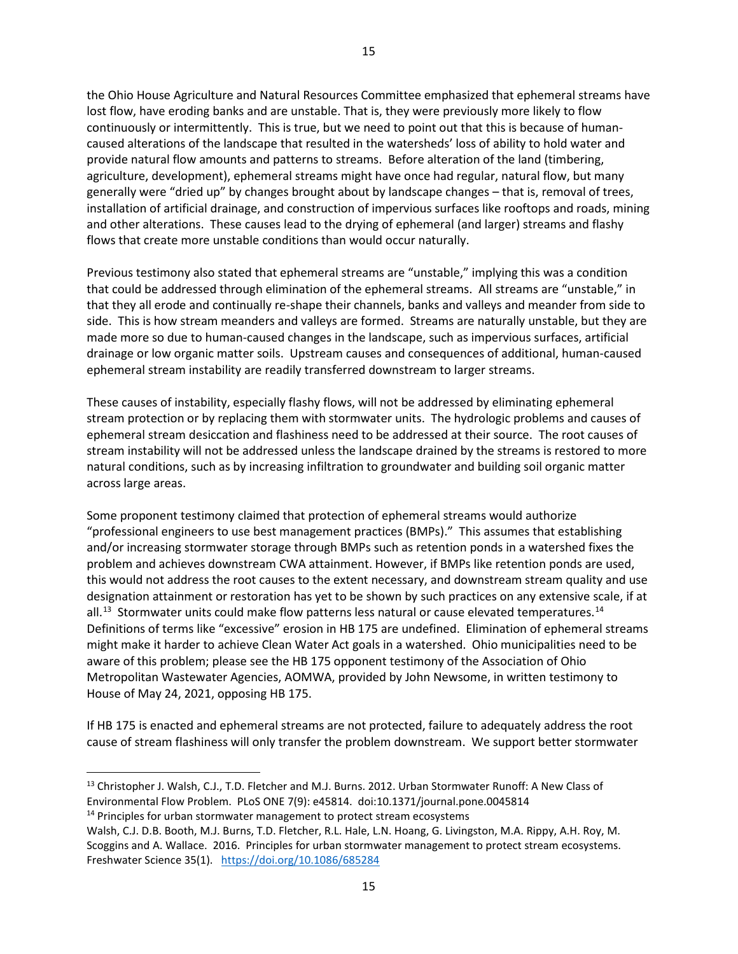the Ohio House Agriculture and Natural Resources Committee emphasized that ephemeral streams have lost flow, have eroding banks and are unstable. That is, they were previously more likely to flow continuously or intermittently. This is true, but we need to point out that this is because of humancaused alterations of the landscape that resulted in the watersheds' loss of ability to hold water and provide natural flow amounts and patterns to streams. Before alteration of the land (timbering, agriculture, development), ephemeral streams might have once had regular, natural flow, but many generally were "dried up" by changes brought about by landscape changes – that is, removal of trees, installation of artificial drainage, and construction of impervious surfaces like rooftops and roads, mining and other alterations. These causes lead to the drying of ephemeral (and larger) streams and flashy flows that create more unstable conditions than would occur naturally.

Previous testimony also stated that ephemeral streams are "unstable," implying this was a condition that could be addressed through elimination of the ephemeral streams. All streams are "unstable," in that they all erode and continually re-shape their channels, banks and valleys and meander from side to side. This is how stream meanders and valleys are formed. Streams are naturally unstable, but they are made more so due to human-caused changes in the landscape, such as impervious surfaces, artificial drainage or low organic matter soils. Upstream causes and consequences of additional, human-caused ephemeral stream instability are readily transferred downstream to larger streams.

These causes of instability, especially flashy flows, will not be addressed by eliminating ephemeral stream protection or by replacing them with stormwater units. The hydrologic problems and causes of ephemeral stream desiccation and flashiness need to be addressed at their source. The root causes of stream instability will not be addressed unless the landscape drained by the streams is restored to more natural conditions, such as by increasing infiltration to groundwater and building soil organic matter across large areas.

Some proponent testimony claimed that protection of ephemeral streams would authorize "professional engineers to use best management practices (BMPs)." This assumes that establishing and/or increasing stormwater storage through BMPs such as retention ponds in a watershed fixes the problem and achieves downstream CWA attainment. However, if BMPs like retention ponds are used, this would not address the root causes to the extent necessary, and downstream stream quality and use designation attainment or restoration has yet to be shown by such practices on any extensive scale, if at  $all.^13$  Stormwater units could make flow patterns less natural or cause elevated temperatures.<sup>[14](#page-14-1)</sup> Definitions of terms like "excessive" erosion in HB 175 are undefined. Elimination of ephemeral streams might make it harder to achieve Clean Water Act goals in a watershed. Ohio municipalities need to be aware of this problem; please see the HB 175 opponent testimony of the Association of Ohio Metropolitan Wastewater Agencies, AOMWA, provided by John Newsome, in written testimony to House of May 24, 2021, opposing HB 175.

If HB 175 is enacted and ephemeral streams are not protected, failure to adequately address the root cause of stream flashiness will only transfer the problem downstream. We support better stormwater

<span id="page-14-0"></span> <sup>13</sup> Christopher J. Walsh, C.J., T.D. Fletcher and M.J. Burns. 2012. Urban Stormwater Runoff: A New Class of Environmental Flow Problem. PLoS ONE 7(9): e45814. doi:10.1371/journal.pone.0045814 14 Principles for urban stormwater management to protect stream ecosystems

<span id="page-14-1"></span>Walsh, C.J. D.B. Booth, M.J. Burns, T.D. Fletcher, R.L. Hale, L.N. Hoang, G. Livingston, M.A. Rippy, A.H. Roy, M.

Scoggins and A. Wallace. 2016. Principles for urban stormwater management to protect stream ecosystems. Freshwater Science 35(1). <https://doi.org/10.1086/685284>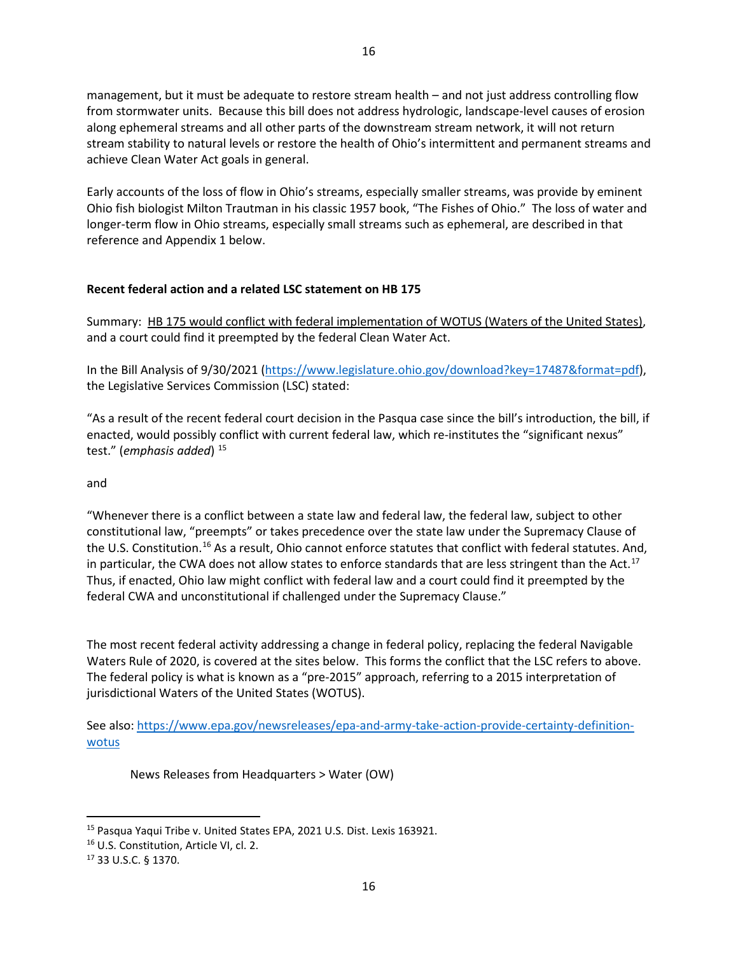management, but it must be adequate to restore stream health – and not just address controlling flow from stormwater units. Because this bill does not address hydrologic, landscape-level causes of erosion along ephemeral streams and all other parts of the downstream stream network, it will not return stream stability to natural levels or restore the health of Ohio's intermittent and permanent streams and achieve Clean Water Act goals in general.

Early accounts of the loss of flow in Ohio's streams, especially smaller streams, was provide by eminent Ohio fish biologist Milton Trautman in his classic 1957 book, "The Fishes of Ohio." The loss of water and longer-term flow in Ohio streams, especially small streams such as ephemeral, are described in that reference and Appendix 1 below.

## **Recent federal action and a related LSC statement on HB 175**

Summary: HB 175 would conflict with federal implementation of WOTUS (Waters of the United States), and a court could find it preempted by the federal Clean Water Act.

In the Bill Analysis of 9/30/2021 [\(https://www.legislature.ohio.gov/download?key=17487&format=pdf\)](https://www.legislature.ohio.gov/download?key=17487&format=pdf), the Legislative Services Commission (LSC) stated:

"As a result of the recent federal court decision in the Pasqua case since the bill's introduction, the bill, if enacted, would possibly conflict with current federal law, which re-institutes the "significant nexus" test." (*emphasis added*) <sup>[15](#page-15-0)</sup>

and

"Whenever there is a conflict between a state law and federal law, the federal law, subject to other constitutional law, "preempts" or takes precedence over the state law under the Supremacy Clause of the U.S. Constitution.<sup>[16](#page-15-1)</sup> As a result, Ohio cannot enforce statutes that conflict with federal statutes. And, in particular, the CWA does not allow states to enforce standards that are less stringent than the Act.<sup>[17](#page-15-2)</sup> Thus, if enacted, Ohio law might conflict with federal law and a court could find it preempted by the federal CWA and unconstitutional if challenged under the Supremacy Clause."

The most recent federal activity addressing a change in federal policy, replacing the federal Navigable Waters Rule of 2020, is covered at the sites below. This forms the conflict that the LSC refers to above. The federal policy is what is known as a "pre-2015" approach, referring to a 2015 interpretation of jurisdictional Waters of the United States (WOTUS).

See also: [https://www.epa.gov/newsreleases/epa-and-army-take-action-provide-certainty-definition](https://www.epa.gov/newsreleases/epa-and-army-take-action-provide-certainty-definition-wotus)[wotus](https://www.epa.gov/newsreleases/epa-and-army-take-action-provide-certainty-definition-wotus)

News Releases from Headquarters > Water (OW)

<span id="page-15-0"></span> <sup>15</sup> Pasqua Yaqui Tribe v. United States EPA, 2021 U.S. Dist. Lexis 163921.

<span id="page-15-1"></span><sup>16</sup> U.S. Constitution, Article VI, cl. 2.

<span id="page-15-2"></span><sup>17</sup> 33 U.S.C. § 1370.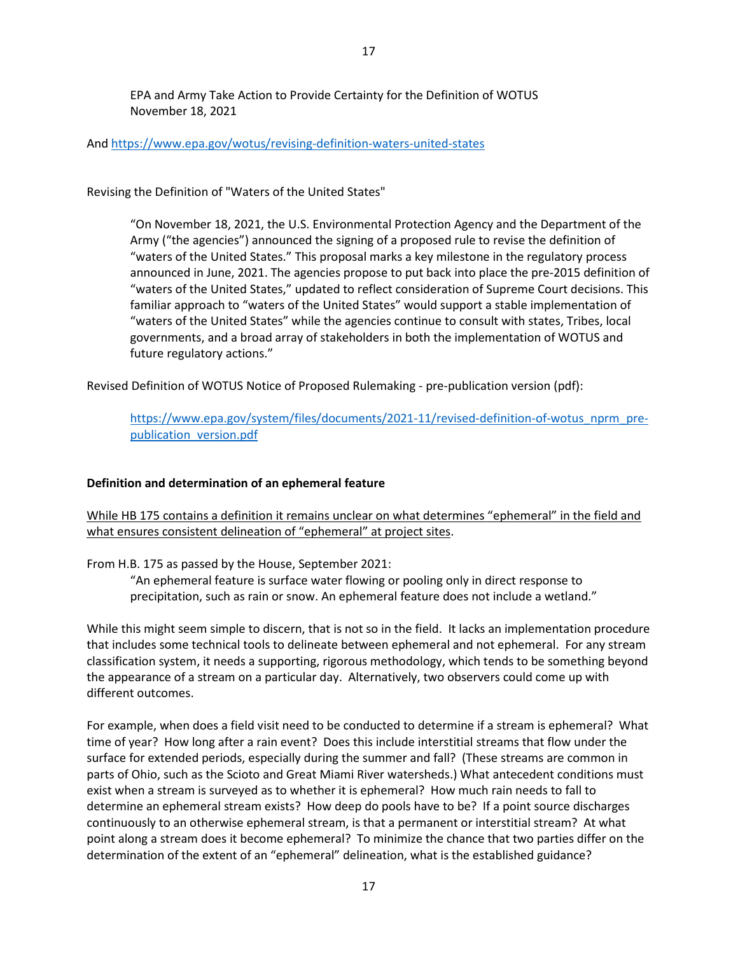EPA and Army Take Action to Provide Certainty for the Definition of WOTUS

17

And <https://www.epa.gov/wotus/revising-definition-waters-united-states>

Revising the Definition of "Waters of the United States"

November 18, 2021

"On November 18, 2021, the U.S. Environmental Protection Agency and the Department of the Army ("the agencies") announced the signing of a proposed rule to revise the definition of "waters of the United States." This proposal marks a key milestone in the regulatory process announced in June, 2021. The agencies propose to put back into place the pre-2015 definition of "waters of the United States," updated to reflect consideration of Supreme Court decisions. This familiar approach to "waters of the United States" would support a stable implementation of "waters of the United States" while the agencies continue to consult with states, Tribes, local governments, and a broad array of stakeholders in both the implementation of WOTUS and future regulatory actions."

Revised Definition of WOTUS Notice of Proposed Rulemaking - pre-publication version (pdf):

[https://www.epa.gov/system/files/documents/2021-11/revised-definition-of-wotus\\_nprm\\_pre](https://www.epa.gov/system/files/documents/2021-11/revised-definition-of-wotus_nprm_pre-publication_version.pdf)[publication\\_version.pdf](https://www.epa.gov/system/files/documents/2021-11/revised-definition-of-wotus_nprm_pre-publication_version.pdf)

## **Definition and determination of an ephemeral feature**

While HB 175 contains a definition it remains unclear on what determines "ephemeral" in the field and what ensures consistent delineation of "ephemeral" at project sites.

From H.B. 175 as passed by the House, September 2021:

"An ephemeral feature is surface water flowing or pooling only in direct response to precipitation, such as rain or snow. An ephemeral feature does not include a wetland."

While this might seem simple to discern, that is not so in the field. It lacks an implementation procedure that includes some technical tools to delineate between ephemeral and not ephemeral. For any stream classification system, it needs a supporting, rigorous methodology, which tends to be something beyond the appearance of a stream on a particular day. Alternatively, two observers could come up with different outcomes.

For example, when does a field visit need to be conducted to determine if a stream is ephemeral? What time of year? How long after a rain event? Does this include interstitial streams that flow under the surface for extended periods, especially during the summer and fall? (These streams are common in parts of Ohio, such as the Scioto and Great Miami River watersheds.) What antecedent conditions must exist when a stream is surveyed as to whether it is ephemeral? How much rain needs to fall to determine an ephemeral stream exists? How deep do pools have to be? If a point source discharges continuously to an otherwise ephemeral stream, is that a permanent or interstitial stream? At what point along a stream does it become ephemeral? To minimize the chance that two parties differ on the determination of the extent of an "ephemeral" delineation, what is the established guidance?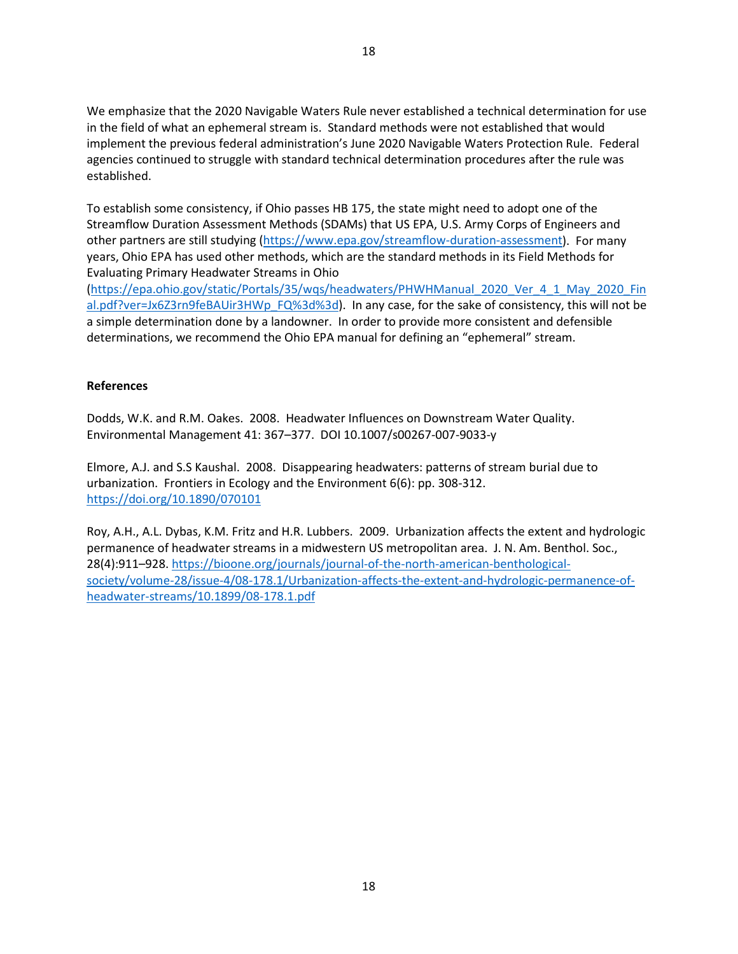We emphasize that the 2020 Navigable Waters Rule never established a technical determination for use in the field of what an ephemeral stream is. Standard methods were not established that would implement the previous federal administration's June 2020 Navigable Waters Protection Rule. Federal agencies continued to struggle with standard technical determination procedures after the rule was established.

To establish some consistency, if Ohio passes HB 175, the state might need to adopt one of the Streamflow Duration Assessment Methods (SDAMs) that US EPA, U.S. Army Corps of Engineers and other partners are still studying [\(https://www.epa.gov/streamflow-duration-assessment\)](https://www.epa.gov/streamflow-duration-assessment). For many years, Ohio EPA has used other methods, which are the standard methods in its Field Methods for Evaluating Primary Headwater Streams in Ohio

[\(https://epa.ohio.gov/static/Portals/35/wqs/headwaters/PHWHManual\\_2020\\_Ver\\_4\\_1\\_May\\_2020\\_Fin](https://epa.ohio.gov/static/Portals/35/wqs/headwaters/PHWHManual_2020_Ver_4_1_May_2020_Final.pdf?ver=Jx6Z3rn9feBAUir3HWp_FQ%3d%3d) [al.pdf?ver=Jx6Z3rn9feBAUir3HWp\\_FQ%3d%3d\)](https://epa.ohio.gov/static/Portals/35/wqs/headwaters/PHWHManual_2020_Ver_4_1_May_2020_Final.pdf?ver=Jx6Z3rn9feBAUir3HWp_FQ%3d%3d). In any case, for the sake of consistency, this will not be a simple determination done by a landowner. In order to provide more consistent and defensible determinations, we recommend the Ohio EPA manual for defining an "ephemeral" stream.

### **References**

Dodds, W.K. and R.M. Oakes. 2008. Headwater Influences on Downstream Water Quality. Environmental Management 41: 367–377. DOI 10.1007/s00267-007-9033-y

Elmore, A.J. and S.S Kaushal. 2008. Disappearing headwaters: patterns of stream burial due to urbanization. Frontiers in Ecology and the Environment 6(6): pp. 308-312. <https://doi.org/10.1890/070101>

Roy, A.H., A.L. Dybas, K.M. Fritz and H.R. Lubbers. 2009. Urbanization affects the extent and hydrologic permanence of headwater streams in a midwestern US metropolitan area. J. N. Am. Benthol. Soc., 28(4):911–928[. https://bioone.org/journals/journal-of-the-north-american-benthological](https://bioone.org/journals/journal-of-the-north-american-benthological-society/volume-28/issue-4/08-178.1/Urbanization-affects-the-extent-and-hydrologic-permanence-of-headwater-streams/10.1899/08-178.1.pdf)[society/volume-28/issue-4/08-178.1/Urbanization-affects-the-extent-and-hydrologic-permanence-of](https://bioone.org/journals/journal-of-the-north-american-benthological-society/volume-28/issue-4/08-178.1/Urbanization-affects-the-extent-and-hydrologic-permanence-of-headwater-streams/10.1899/08-178.1.pdf)[headwater-streams/10.1899/08-178.1.pdf](https://bioone.org/journals/journal-of-the-north-american-benthological-society/volume-28/issue-4/08-178.1/Urbanization-affects-the-extent-and-hydrologic-permanence-of-headwater-streams/10.1899/08-178.1.pdf)